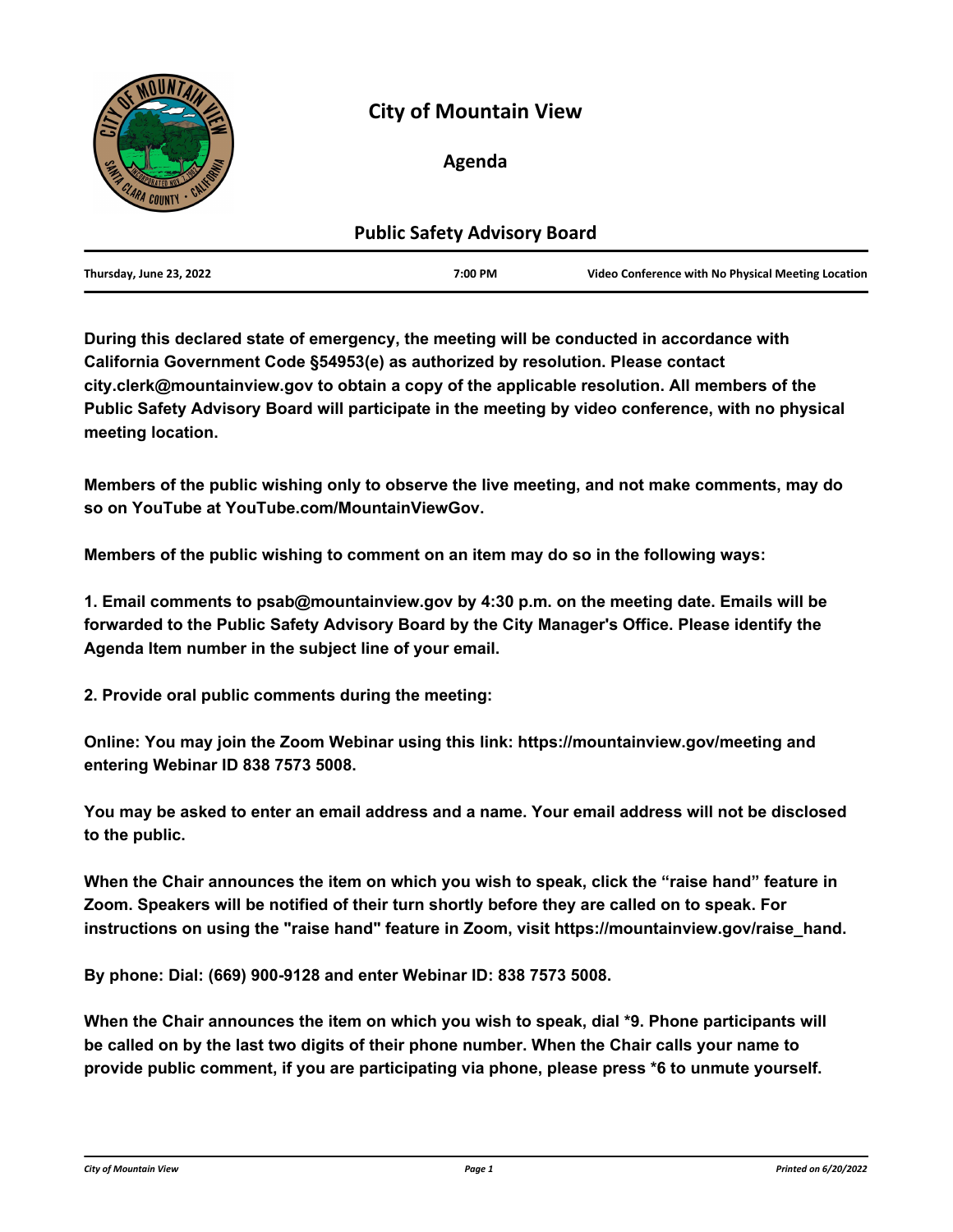

# **City of Mountain View**

## **Agenda**

| <b>Public Safety Advisory Board</b> |         |                                                    |
|-------------------------------------|---------|----------------------------------------------------|
| Thursday, June 23, 2022             | 7:00 PM | Video Conference with No Physical Meeting Location |

**During this declared state of emergency, the meeting will be conducted in accordance with California Government Code §54953(e) as authorized by resolution. Please contact city.clerk@mountainview.gov to obtain a copy of the applicable resolution. All members of the Public Safety Advisory Board will participate in the meeting by video conference, with no physical meeting location.**

**Members of the public wishing only to observe the live meeting, and not make comments, may do so on YouTube at YouTube.com/MountainViewGov.**

**Members of the public wishing to comment on an item may do so in the following ways:** 

**1. Email comments to psab@mountainview.gov by 4:30 p.m. on the meeting date. Emails will be forwarded to the Public Safety Advisory Board by the City Manager's Office. Please identify the Agenda Item number in the subject line of your email.**

**2. Provide oral public comments during the meeting:**

**Online: You may join the Zoom Webinar using this link: https://mountainview.gov/meeting and entering Webinar ID 838 7573 5008.** 

**You may be asked to enter an email address and a name. Your email address will not be disclosed to the public.**

**When the Chair announces the item on which you wish to speak, click the "raise hand" feature in Zoom. Speakers will be notified of their turn shortly before they are called on to speak. For instructions on using the "raise hand" feature in Zoom, visit https://mountainview.gov/raise\_hand.**

**By phone: Dial: (669) 900-9128 and enter Webinar ID: 838 7573 5008.** 

**When the Chair announces the item on which you wish to speak, dial \*9. Phone participants will be called on by the last two digits of their phone number. When the Chair calls your name to provide public comment, if you are participating via phone, please press \*6 to unmute yourself.**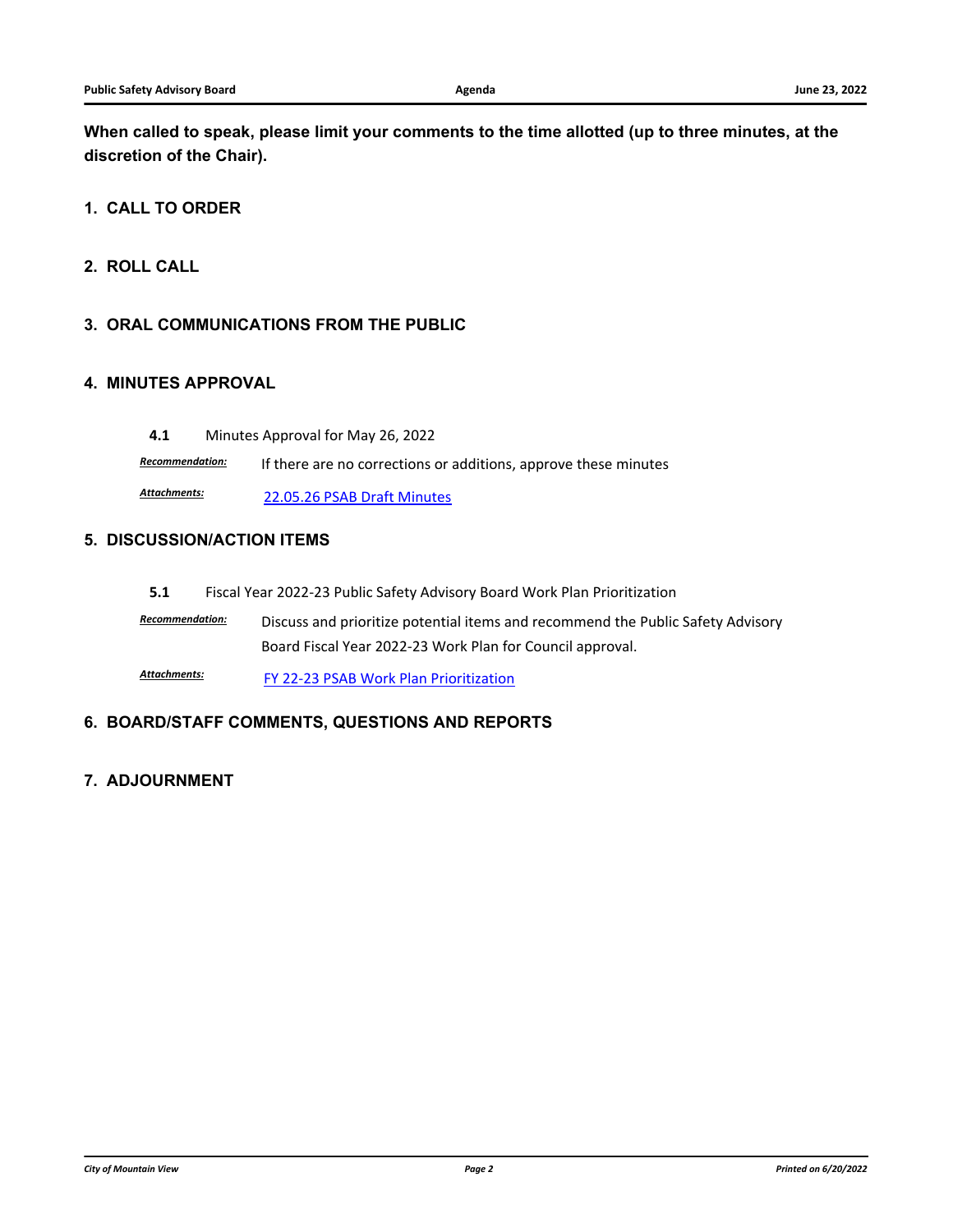**When called to speak, please limit your comments to the time allotted (up to three minutes, at the discretion of the Chair).**

#### **1. CALL TO ORDER**

#### **2. ROLL CALL**

#### **3. ORAL COMMUNICATIONS FROM THE PUBLIC**

#### **4. MINUTES APPROVAL**

**4.1** [Minutes Approval for May 26, 2022](http://mountainview.legistar.com/gateway.aspx?m=l&id=/matter.aspx?key=6647)

*Recommendation:* If there are no corrections or additions, approve these minutes

Attachments: [22.05.26 PSAB Draft Minutes](http://mountainview.legistar.com/gateway.aspx?M=F&ID=a6e17104-f4fb-446c-b090-8d908606a478.pdf)

#### **5. DISCUSSION/ACTION ITEMS**

**5.1** [Fiscal Year 2022-23 Public Safety Advisory Board Work Plan Prioritization](http://mountainview.legistar.com/gateway.aspx?m=l&id=/matter.aspx?key=6648)

*Recommendation:* Discuss and prioritize potential items and recommend the Public Safety Advisory Board Fiscal Year 2022-23 Work Plan for Council approval.

Attachments: **[FY 22-23 PSAB Work Plan Prioritization](http://mountainview.legistar.com/gateway.aspx?M=F&ID=ce60167e-0089-49ac-955d-3e3aa8407e70.pdf)** 

## **6. BOARD/STAFF COMMENTS, QUESTIONS AND REPORTS**

## **7. ADJOURNMENT**